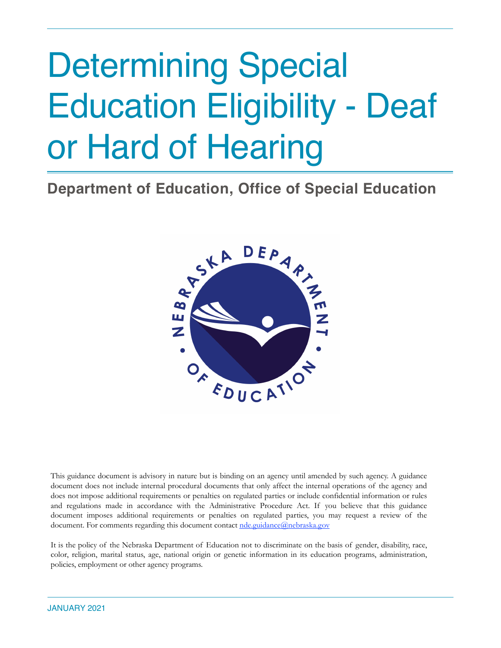# Determining Special Education Eligibility - Deaf or Hard of Hearing

# **Department of Education, Office of Special Education**



This guidance document is advisory in nature but is binding on an agency until amended by such agency. A guidance document does not include internal procedural documents that only affect the internal operations of the agency and does not impose additional requirements or penalties on regulated parties or include confidential information or rules and regulations made in accordance with the Administrative Procedure Act. If you believe that this guidance document imposes additional requirements or penalties on regulated parties, you may request a review of the document. For comments regarding this document contact [nde.guidance@nebraska.gov](mailto:nde.guidance@nebraska.gov)

It is the policy of the Nebraska Department of Education not to discriminate on the basis of gender, disability, race, color, religion, marital status, age, national origin or genetic information in its education programs, administration, policies, employment or other agency programs.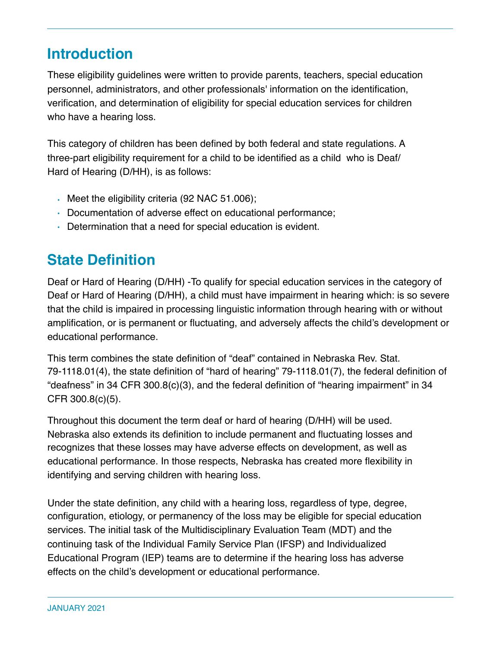# **Introduction**

These eligibility guidelines were written to provide parents, teachers, special education personnel, administrators, and other professionals' information on the identification, verification, and determination of eligibility for special education services for children who have a hearing loss.

This category of children has been defined by both federal and state regulations. A three-part eligibility requirement for a child to be identified as a child who is Deaf/ Hard of Hearing (D/HH), is as follows:

- Meet the eligibility criteria (92 NAC 51.006);
- Documentation of adverse effect on educational performance;
- Determination that a need for special education is evident.

# **State Definition**

Deaf or Hard of Hearing (D/HH) -To qualify for special education services in the category of Deaf or Hard of Hearing (D/HH), a child must have impairment in hearing which: is so severe that the child is impaired in processing linguistic information through hearing with or without amplification, or is permanent or fluctuating, and adversely affects the child's development or educational performance.

This term combines the state definition of "deaf" contained in Nebraska Rev. Stat. 79-1118.01(4), the state definition of "hard of hearing" 79-1118.01(7), the federal definition of "deafness" in 34 CFR 300.8(c)(3), and the federal definition of "hearing impairment" in 34 CFR 300.8(c)(5).

Throughout this document the term deaf or hard of hearing (D/HH) will be used. Nebraska also extends its definition to include permanent and fluctuating losses and recognizes that these losses may have adverse effects on development, as well as educational performance. In those respects, Nebraska has created more flexibility in identifying and serving children with hearing loss.

Under the state definition, any child with a hearing loss, regardless of type, degree, configuration, etiology, or permanency of the loss may be eligible for special education services. The initial task of the Multidisciplinary Evaluation Team (MDT) and the continuing task of the Individual Family Service Plan (IFSP) and Individualized Educational Program (IEP) teams are to determine if the hearing loss has adverse effects on the child's development or educational performance.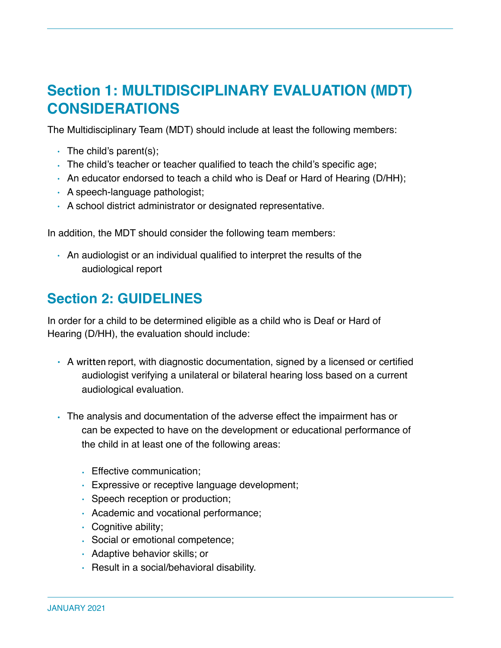# **Section 1: MULTIDISCIPLINARY EVALUATION (MDT) CONSIDERATIONS**

The Multidisciplinary Team (MDT) should include at least the following members:

- $\cdot$  The child's parent(s);
- The child's teacher or teacher qualified to teach the child's specific age;
- An educator endorsed to teach a child who is Deaf or Hard of Hearing (D/HH);
- A speech-language pathologist;
- A school district administrator or designated representative.

In addition, the MDT should consider the following team members:

• An audiologist or an individual qualified to interpret the results of the audiological report

# **Section 2: GUIDELINES**

In order for a child to be determined eligible as a child who is Deaf or Hard of Hearing (D/HH), the evaluation should include:

- A written report, with diagnostic documentation, signed by a licensed or certified audiologist verifying a unilateral or bilateral hearing loss based on a current audiological evaluation.
- The analysis and documentation of the adverse effect the impairment has or can be expected to have on the development or educational performance of the child in at least one of the following areas:
	- Effective communication;
	- Expressive or receptive language development;
	- Speech reception or production;
	- Academic and vocational performance;
	- Cognitive ability;
	- Social or emotional competence;
	- Adaptive behavior skills; or
	- Result in a social/behavioral disability.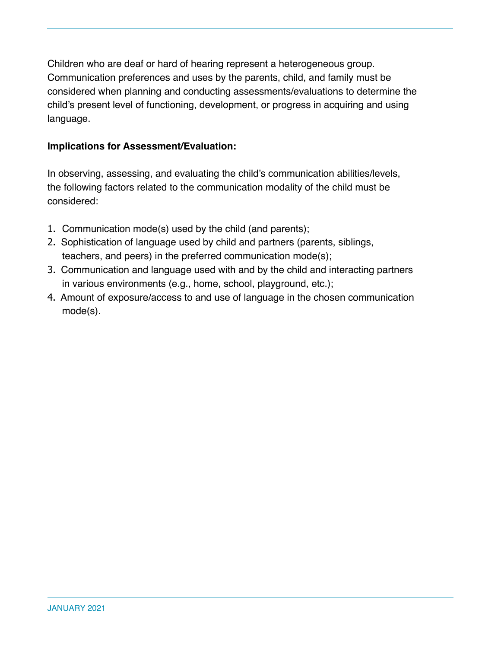Children who are deaf or hard of hearing represent a heterogeneous group. Communication preferences and uses by the parents, child, and family must be considered when planning and conducting assessments/evaluations to determine the child's present level of functioning, development, or progress in acquiring and using language.

## **Implications for Assessment/Evaluation:**

In observing, assessing, and evaluating the child's communication abilities/levels, the following factors related to the communication modality of the child must be considered:

- 1. Communication mode(s) used by the child (and parents);
- 2. Sophistication of language used by child and partners (parents, siblings, teachers, and peers) in the preferred communication mode(s);
- 3. Communication and language used with and by the child and interacting partners in various environments (e.g., home, school, playground, etc.);
- 4. Amount of exposure/access to and use of language in the chosen communication mode(s).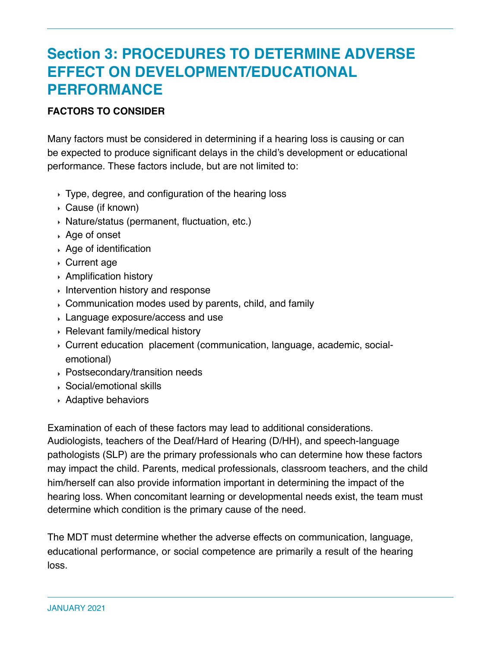# **Section 3: PROCEDURES TO DETERMINE ADVERSE EFFECT ON DEVELOPMENT/EDUCATIONAL PERFORMANCE**

## **FACTORS TO CONSIDER**

Many factors must be considered in determining if a hearing loss is causing or can be expected to produce significant delays in the child's development or educational performance. These factors include, but are not limited to:

- ‣ Type, degree, and configuration of the hearing loss
- ‣ Cause (if known)
- ‣ Nature/status (permanent, fluctuation, etc.)
- ‣ Age of onset
- ‣ Age of identification
- ‣ Current age
- ‣ Amplification history
- $\rightarrow$  Intervention history and response
- ‣ Communication modes used by parents, child, and family

determine which condition is the primary cause of the need.

- ‣ Language exposure/access and use
- ‣ Relevant family/medical history
- ‣ Current education placement (communication, language, academic, socialemotional)
- ‣ Postsecondary/transition needs
- ‣ Social/emotional skills
- ‣ Adaptive behaviors

Examination of each of these factors may lead to additional considerations. Audiologists, teachers of the Deaf/Hard of Hearing (D/HH), and speech-language pathologists (SLP) are the primary professionals who can determine how these factors may impact the child. Parents, medical professionals, classroom teachers, and the child him/herself can also provide information important in determining the impact of the hearing loss. When concomitant learning or developmental needs exist, the team must

The MDT must determine whether the adverse effects on communication, language, educational performance, or social competence are primarily a result of the hearing loss.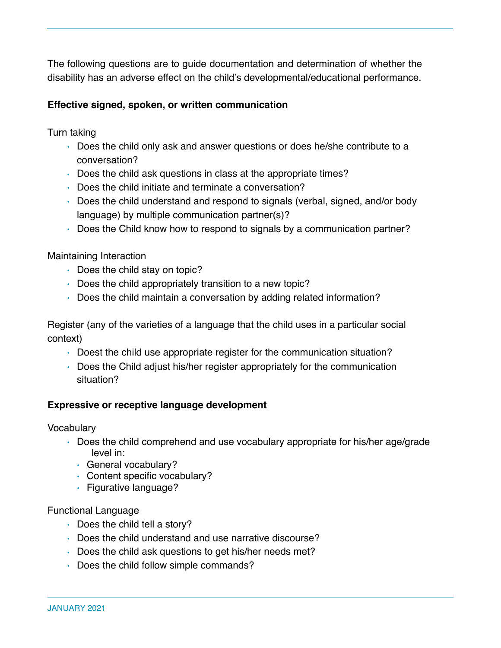The following questions are to guide documentation and determination of whether the disability has an adverse effect on the child's developmental/educational performance.

## **Effective signed, spoken, or written communication**

Turn taking

- Does the child only ask and answer questions or does he/she contribute to a conversation?
- Does the child ask questions in class at the appropriate times?
- Does the child initiate and terminate a conversation?
- Does the child understand and respond to signals (verbal, signed, and/or body language) by multiple communication partner(s)?
- Does the Child know how to respond to signals by a communication partner?

Maintaining Interaction

- Does the child stay on topic?
- Does the child appropriately transition to a new topic?
- Does the child maintain a conversation by adding related information?

Register (any of the varieties of a language that the child uses in a particular social context)

- Doest the child use appropriate register for the communication situation?
- Does the Child adjust his/her register appropriately for the communication situation?

## **Expressive or receptive language development**

**Vocabulary** 

- Does the child comprehend and use vocabulary appropriate for his/her age/grade level in:
	- General vocabulary?
	- Content specific vocabulary?
	- Figurative language?

#### Functional Language

- Does the child tell a story?
- Does the child understand and use narrative discourse?
- Does the child ask questions to get his/her needs met?
- Does the child follow simple commands?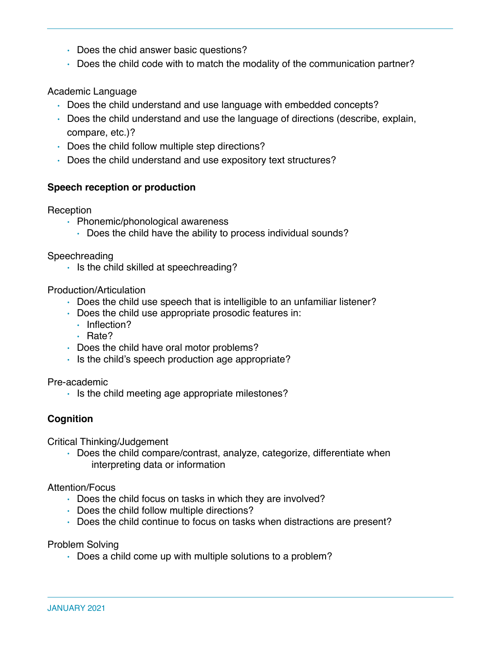- Does the chid answer basic questions?
- Does the child code with to match the modality of the communication partner?

### Academic Language

- Does the child understand and use language with embedded concepts?
- Does the child understand and use the language of directions (describe, explain, compare, etc.)?
- Does the child follow multiple step directions?
- Does the child understand and use expository text structures?

#### **Speech reception or production**

Reception

- Phonemic/phonological awareness
	- Does the child have the ability to process individual sounds?

Speechreading

• Is the child skilled at speechreading?

Production/Articulation

- Does the child use speech that is intelligible to an unfamiliar listener?
- Does the child use appropriate prosodic features in:
	- Inflection?
	- Rate?
- Does the child have oral motor problems?
- Is the child's speech production age appropriate?

Pre-academic

• Is the child meeting age appropriate milestones?

#### **Cognition**

Critical Thinking/Judgement

• Does the child compare/contrast, analyze, categorize, differentiate when interpreting data or information

Attention/Focus

- Does the child focus on tasks in which they are involved?
- Does the child follow multiple directions?
- Does the child continue to focus on tasks when distractions are present?

Problem Solving

• Does a child come up with multiple solutions to a problem?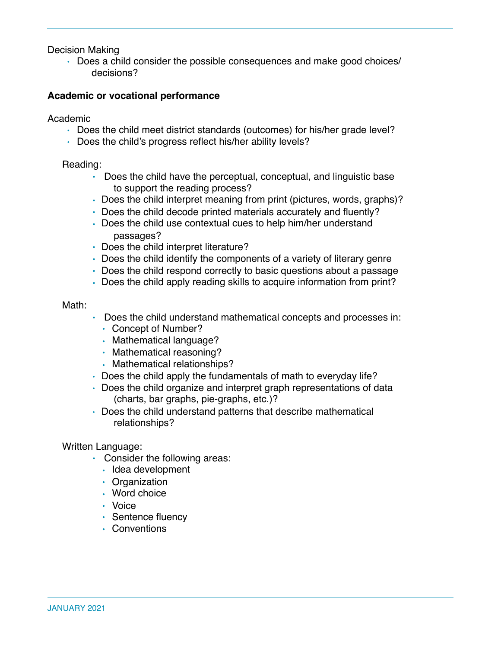Decision Making

• Does a child consider the possible consequences and make good choices/ decisions?

#### **Academic or vocational performance**

Academic

- Does the child meet district standards (outcomes) for his/her grade level?
- Does the child's progress reflect his/her ability levels?

#### Reading:

- Does the child have the perceptual, conceptual, and linguistic base to support the reading process?
- Does the child interpret meaning from print (pictures, words, graphs)?
- Does the child decode printed materials accurately and fluently?
- Does the child use contextual cues to help him/her understand passages?
- Does the child interpret literature?
- Does the child identify the components of a variety of literary genre
- Does the child respond correctly to basic questions about a passage
- Does the child apply reading skills to acquire information from print?

#### Math:

- Does the child understand mathematical concepts and processes in:
	- Concept of Number?
	- Mathematical language?
	- Mathematical reasoning?
	- Mathematical relationships?
- Does the child apply the fundamentals of math to everyday life?
- Does the child organize and interpret graph representations of data (charts, bar graphs, pie-graphs, etc.)?
- Does the child understand patterns that describe mathematical relationships?

#### Written Language:

- Consider the following areas:
	- Idea development
	- Organization
	- Word choice
	- Voice
	- Sentence fluency
	- Conventions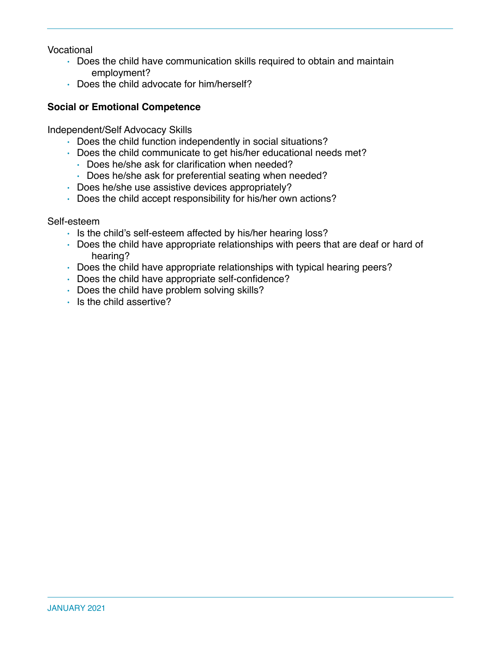Vocational

- Does the child have communication skills required to obtain and maintain employment?
- Does the child advocate for him/herself?

## **Social or Emotional Competence**

Independent/Self Advocacy Skills

- Does the child function independently in social situations?
- Does the child communicate to get his/her educational needs met?
	- Does he/she ask for clarification when needed?
	- Does he/she ask for preferential seating when needed?
- Does he/she use assistive devices appropriately?
- Does the child accept responsibility for his/her own actions?

#### Self-esteem

- Is the child's self-esteem affected by his/her hearing loss?
- Does the child have appropriate relationships with peers that are deaf or hard of hearing?
- Does the child have appropriate relationships with typical hearing peers?
- Does the child have appropriate self-confidence?
- Does the child have problem solving skills?
- Is the child assertive?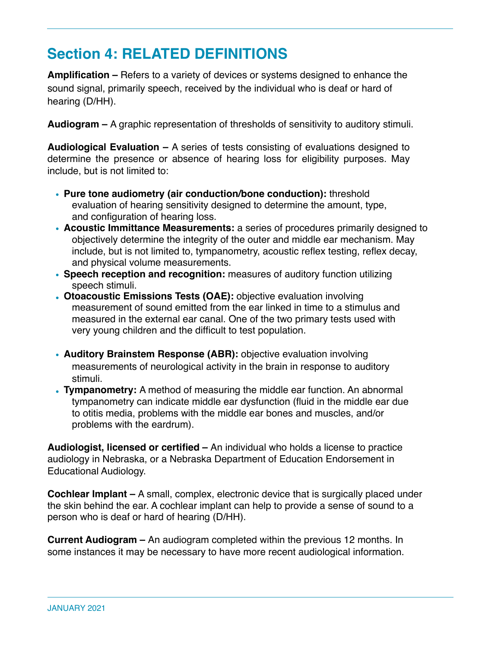# **Section 4: RELATED DEFINITIONS**

**Amplification –** Refers to a variety of devices or systems designed to enhance the sound signal, primarily speech, received by the individual who is deaf or hard of hearing (D/HH).

**Audiogram –** A graphic representation of thresholds of sensitivity to auditory stimuli.

**Audiological Evaluation –** A series of tests consisting of evaluations designed to determine the presence or absence of hearing loss for eligibility purposes. May include, but is not limited to:

- **Pure tone audiometry (air conduction/bone conduction):** threshold evaluation of hearing sensitivity designed to determine the amount, type, and configuration of hearing loss.
- **Acoustic Immittance Measurements:** a series of procedures primarily designed to objectively determine the integrity of the outer and middle ear mechanism. May include, but is not limited to, tympanometry, acoustic reflex testing, reflex decay, and physical volume measurements.
- **Speech reception and recognition:** measures of auditory function utilizing speech stimuli.
- **Otoacoustic Emissions Tests (OAE):** objective evaluation involving measurement of sound emitted from the ear linked in time to a stimulus and measured in the external ear canal. One of the two primary tests used with very young children and the difficult to test population.
- **Auditory Brainstem Response (ABR):** objective evaluation involving measurements of neurological activity in the brain in response to auditory stimuli.
- **Tympanometry:** A method of measuring the middle ear function. An abnormal tympanometry can indicate middle ear dysfunction (fluid in the middle ear due to otitis media, problems with the middle ear bones and muscles, and/or problems with the eardrum).

**Audiologist, licensed or certified –** An individual who holds a license to practice audiology in Nebraska, or a Nebraska Department of Education Endorsement in Educational Audiology.

**Cochlear Implant –** A small, complex, electronic device that is surgically placed under the skin behind the ear. A cochlear implant can help to provide a sense of sound to a person who is deaf or hard of hearing (D/HH).

**Current Audiogram –** An audiogram completed within the previous 12 months. In some instances it may be necessary to have more recent audiological information.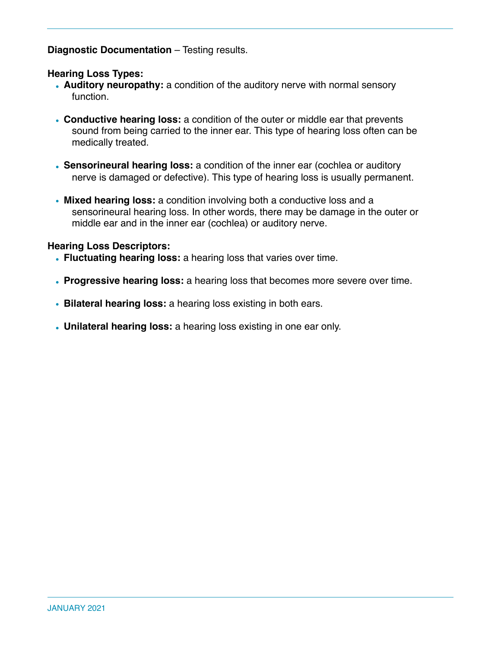**Diagnostic Documentation** – Testing results.

#### **Hearing Loss Types:**

- **Auditory neuropathy:** a condition of the auditory nerve with normal sensory function.
- **Conductive hearing loss:** a condition of the outer or middle ear that prevents sound from being carried to the inner ear. This type of hearing loss often can be medically treated.
- **Sensorineural hearing loss:** a condition of the inner ear (cochlea or auditory nerve is damaged or defective). This type of hearing loss is usually permanent.
- **Mixed hearing loss:** a condition involving both a conductive loss and a sensorineural hearing loss. In other words, there may be damage in the outer or middle ear and in the inner ear (cochlea) or auditory nerve.

#### **Hearing Loss Descriptors:**

- **Fluctuating hearing loss:** a hearing loss that varies over time.
- **Progressive hearing loss:** a hearing loss that becomes more severe over time.
- **Bilateral hearing loss:** a hearing loss existing in both ears.
- **Unilateral hearing loss:** a hearing loss existing in one ear only.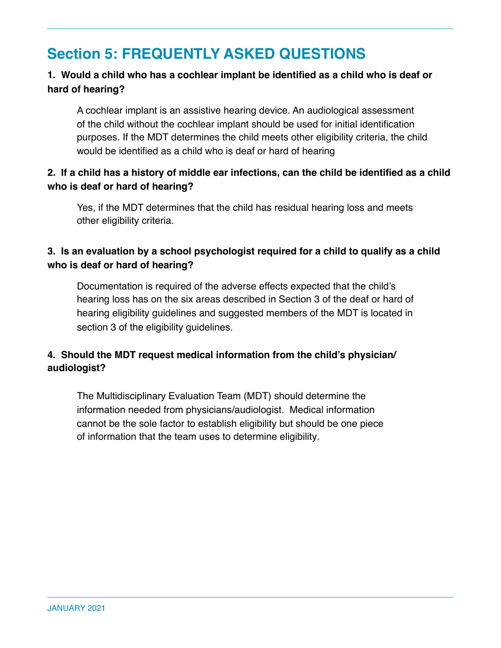# **Section 5: FREQUENTLY ASKED QUESTIONS**

# **1. Would a child who has a cochlear implant be identified as a child who is deaf or hard of hearing?**

A cochlear implant is an assistive hearing device. An audiological assessment of the child without the cochlear implant should be used for initial identification purposes. If the MDT determines the child meets other eligibility criteria, the child would be identified as a child who is deaf or hard of hearing

## **2. If a child has a history of middle ear infections, can the child be identified as a child who is deaf or hard of hearing?**

Yes, if the MDT determines that the child has residual hearing loss and meets other eligibility criteria.

## **3. Is an evaluation by a school psychologist required for a child to qualify as a child who is deaf or hard of hearing?**

Documentation is required of the adverse effects expected that the child's hearing loss has on the six areas described in Section 3 of the deaf or hard of hearing eligibility guidelines and suggested members of the MDT is located in section 3 of the eligibility guidelines.

## **4. Should the MDT request medical information from the child's physician/ audiologist?**

The Multidisciplinary Evaluation Team (MDT) should determine the information needed from physicians/audiologist. Medical information cannot be the sole factor to establish eligibility but should be one piece of information that the team uses to determine eligibility*.*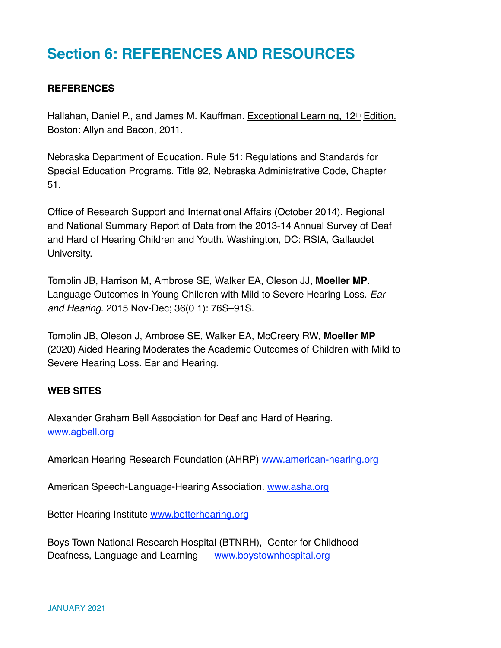# **Section 6: REFERENCES AND RESOURCES**

## **REFERENCES**

Hallahan, Daniel P., and James M. Kauffman. Exceptional Learning, 12<sup>th</sup> Edition. Boston: Allyn and Bacon, 2011.

Nebraska Department of Education. Rule 51: Regulations and Standards for Special Education Programs. Title 92, Nebraska Administrative Code, Chapter 51.

Office of Research Support and International Affairs (October 2014). Regional and National Summary Report of Data from the 2013-14 Annual Survey of Deaf and Hard of Hearing Children and Youth. Washington, DC: RSIA, Gallaudet University.

Tomblin JB, Harrison M, [Ambrose SE](https://academictree.org/csd/publications.php?pid=83441), Walker EA, Oleson JJ, **Moeller MP**. Language Outcomes in Young Children with Mild to Severe Hearing Loss. *Ear and Hearing*. 2015 Nov-Dec; 36(0 1): 76S–91S.

Tomblin JB, Oleson J, [Ambrose SE](https://academictree.org/csd/publications.php?pid=83441), Walker EA, McCreery RW, **Moeller MP** (2020) Aided Hearing Moderates the Academic Outcomes of Children with Mild to Severe Hearing Loss. Ear and Hearing.

#### **WEB SITES**

Alexander Graham Bell Association for Deaf and Hard of Hearing. www.agbell.org

American Hearing Research Foundation (AHRP) www.american-hearing.org

American Speech-Language-Hearing Association. www.asha.org

Better Hearing Institute www.betterhearing.org

Boys Town National Research Hospital (BTNRH), Center for Childhood Deafness, Language and Learning www.boystownhospital.org